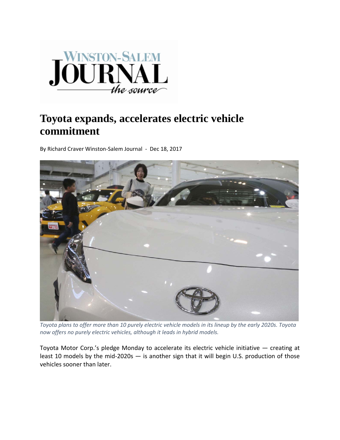

## **Toyota expands, accelerates electric vehicle commitment**

By Richard Craver Winston‐Salem Journal ‐ Dec 18, 2017



Toyota plans to offer more than 10 purely electric vehicle models in its lineup by the early 2020s. Toyota *now offers no purely electric vehicles, although it leads in hybrid models.*

Toyota Motor Corp.'s pledge Monday to accelerate its electric vehicle initiative — creating at least 10 models by the mid-2020s — is another sign that it will begin U.S. production of those vehicles sooner than later.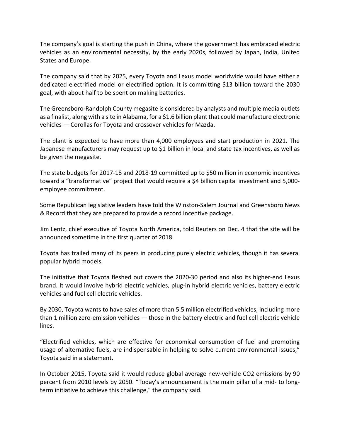The company's goal is starting the push in China, where the government has embraced electric vehicles as an environmental necessity, by the early 2020s, followed by Japan, India, United States and Europe.

The company said that by 2025, every Toyota and Lexus model worldwide would have either a dedicated electrified model or electrified option. It is committing \$13 billion toward the 2030 goal, with about half to be spent on making batteries.

The Greensboro‐Randolph County megasite is considered by analysts and multiple media outlets as a finalist, along with a site in Alabama, for a \$1.6 billion plant that could manufacture electronic vehicles — Corollas for Toyota and crossover vehicles for Mazda.

The plant is expected to have more than 4,000 employees and start production in 2021. The Japanese manufacturers may request up to \$1 billion in local and state tax incentives, as well as be given the megasite.

The state budgets for 2017‐18 and 2018‐19 committed up to \$50 million in economic incentives toward a "transformative" project that would require a \$4 billion capital investment and 5,000‐ employee commitment.

Some Republican legislative leaders have told the Winston‐Salem Journal and Greensboro News & Record that they are prepared to provide a record incentive package.

Jim Lentz, chief executive of Toyota North America, told Reuters on Dec. 4 that the site will be announced sometime in the first quarter of 2018.

Toyota has trailed many of its peers in producing purely electric vehicles, though it has several popular hybrid models.

The initiative that Toyota fleshed out covers the 2020‐30 period and also its higher‐end Lexus brand. It would involve hybrid electric vehicles, plug‐in hybrid electric vehicles, battery electric vehicles and fuel cell electric vehicles.

By 2030, Toyota wants to have sales of more than 5.5 million electrified vehicles, including more than 1 million zero-emission vehicles — those in the battery electric and fuel cell electric vehicle lines.

"Electrified vehicles, which are effective for economical consumption of fuel and promoting usage of alternative fuels, are indispensable in helping to solve current environmental issues," Toyota said in a statement.

In October 2015, Toyota said it would reduce global average new-vehicle CO2 emissions by 90 percent from 2010 levels by 2050. "Today's announcement is the main pillar of a mid‐ to long‐ term initiative to achieve this challenge," the company said.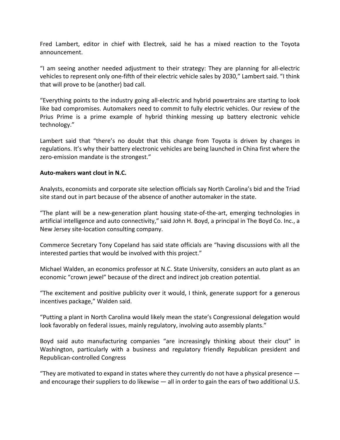Fred Lambert, editor in chief with Electrek, said he has a mixed reaction to the Toyota announcement.

"I am seeing another needed adjustment to their strategy: They are planning for all‐electric vehicles to represent only one-fifth of their electric vehicle sales by 2030," Lambert said. "I think that will prove to be (another) bad call.

"Everything points to the industry going all‐electric and hybrid powertrains are starting to look like bad compromises. Automakers need to commit to fully electric vehicles. Our review of the Prius Prime is a prime example of hybrid thinking messing up battery electronic vehicle technology."

Lambert said that "there's no doubt that this change from Toyota is driven by changes in regulations. It's why their battery electronic vehicles are being launched in China first where the zero-emission mandate is the strongest."

## **Auto‐makers want clout in N.C.**

Analysts, economists and corporate site selection officials say North Carolina's bid and the Triad site stand out in part because of the absence of another automaker in the state.

"The plant will be a new‐generation plant housing state‐of‐the‐art, emerging technologies in artificial intelligence and auto connectivity," said John H. Boyd, a principal in The Boyd Co. Inc., a New Jersey site‐location consulting company.

Commerce Secretary Tony Copeland has said state officials are "having discussions with all the interested parties that would be involved with this project."

Michael Walden, an economics professor at N.C. State University, considers an auto plant as an economic "crown jewel" because of the direct and indirect job creation potential.

"The excitement and positive publicity over it would, I think, generate support for a generous incentives package," Walden said.

"Putting a plant in North Carolina would likely mean the state's Congressional delegation would look favorably on federal issues, mainly regulatory, involving auto assembly plants."

Boyd said auto manufacturing companies "are increasingly thinking about their clout" in Washington, particularly with a business and regulatory friendly Republican president and Republican‐controlled Congress

"They are motivated to expand in states where they currently do not have a physical presence and encourage their suppliers to do likewise — all in order to gain the ears of two additional U.S.